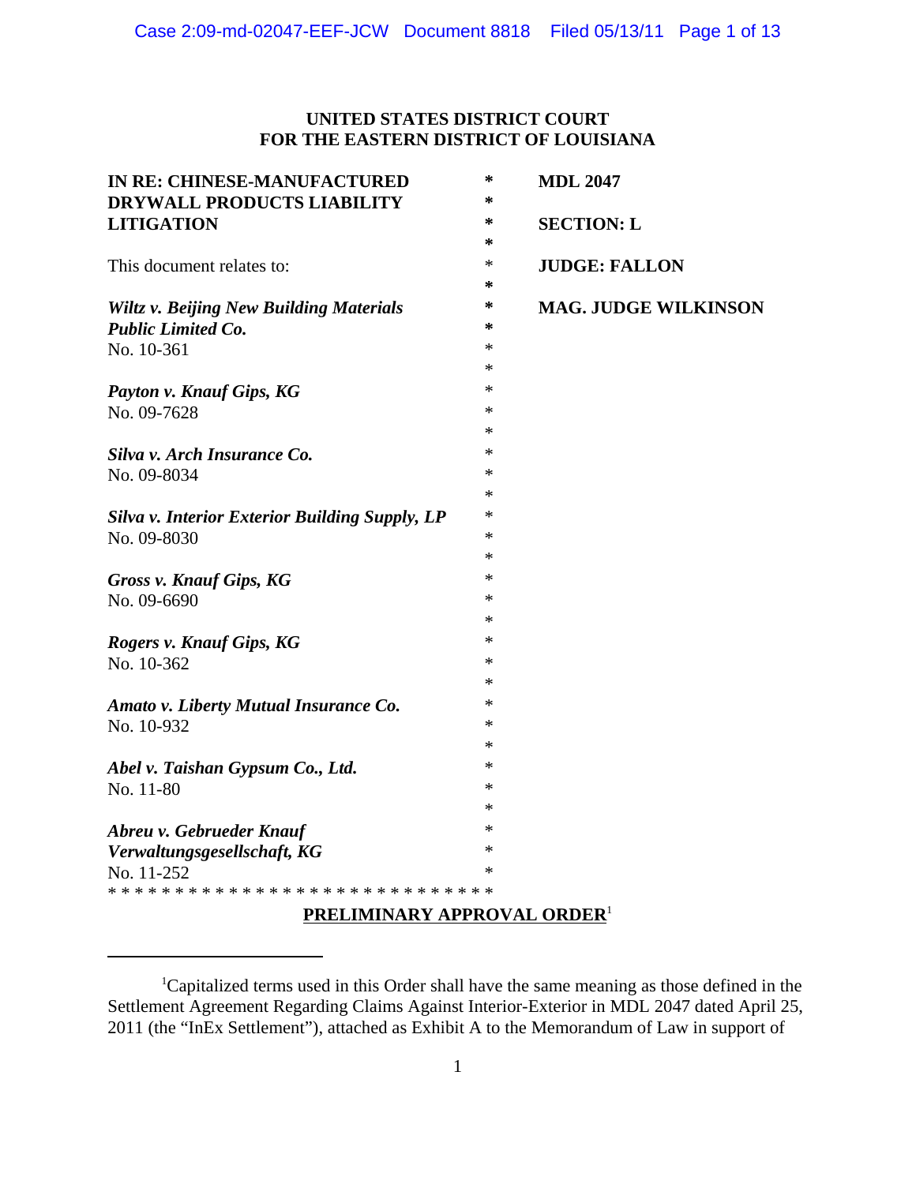# **UNITED STATES DISTRICT COURT FOR THE EASTERN DISTRICT OF LOUISIANA**

| IN RE: CHINESE-MANUFACTURED<br>DRYWALL PRODUCTS LIABILITY | *<br>∗ | <b>MDL 2047</b>             |
|-----------------------------------------------------------|--------|-----------------------------|
| <b>LITIGATION</b>                                         | ∗      | <b>SECTION: L</b>           |
|                                                           | ∗      |                             |
| This document relates to:                                 | $\ast$ | <b>JUDGE: FALLON</b>        |
|                                                           | *      |                             |
| <b>Wiltz v. Beijing New Building Materials</b>            | ∗      | <b>MAG. JUDGE WILKINSON</b> |
| <b>Public Limited Co.</b>                                 | ∗      |                             |
| No. 10-361                                                | *      |                             |
|                                                           | *      |                             |
| Payton v. Knauf Gips, KG                                  | $\ast$ |                             |
| No. 09-7628                                               | ∗      |                             |
|                                                           | ∗      |                             |
| Silva v. Arch Insurance Co.                               | ∗      |                             |
| No. 09-8034                                               | $\ast$ |                             |
|                                                           | ∗      |                             |
| <b>Silva v. Interior Exterior Building Supply, LP</b>     | ∗      |                             |
| No. 09-8030                                               | ∗      |                             |
|                                                           | ∗      |                             |
| <b>Gross v. Knauf Gips, KG</b>                            | $\ast$ |                             |
| No. 09-6690                                               | ∗      |                             |
|                                                           | ∗      |                             |
| Rogers v. Knauf Gips, KG                                  | $\ast$ |                             |
| No. 10-362                                                | ∗      |                             |
|                                                           | ∗      |                             |
| Amato v. Liberty Mutual Insurance Co.                     | ∗      |                             |
| No. 10-932                                                | $\ast$ |                             |
|                                                           | ∗      |                             |
| Abel v. Taishan Gypsum Co., Ltd.                          | *      |                             |
| No. 11-80                                                 | $\ast$ |                             |
|                                                           | $\ast$ |                             |
| Abreu v. Gebrueder Knauf                                  | ∗      |                             |
| Verwaltungsgesellschaft, KG                               | ∗      |                             |
| No. 11-252                                                | $\ast$ |                             |
|                                                           |        |                             |

# **PRELIMINARY APPROVAL ORDER**<sup>1</sup>

<sup>&</sup>lt;sup>1</sup>Capitalized terms used in this Order shall have the same meaning as those defined in the Settlement Agreement Regarding Claims Against Interior-Exterior in MDL 2047 dated April 25, 2011 (the "InEx Settlement"), attached as Exhibit A to the Memorandum of Law in support of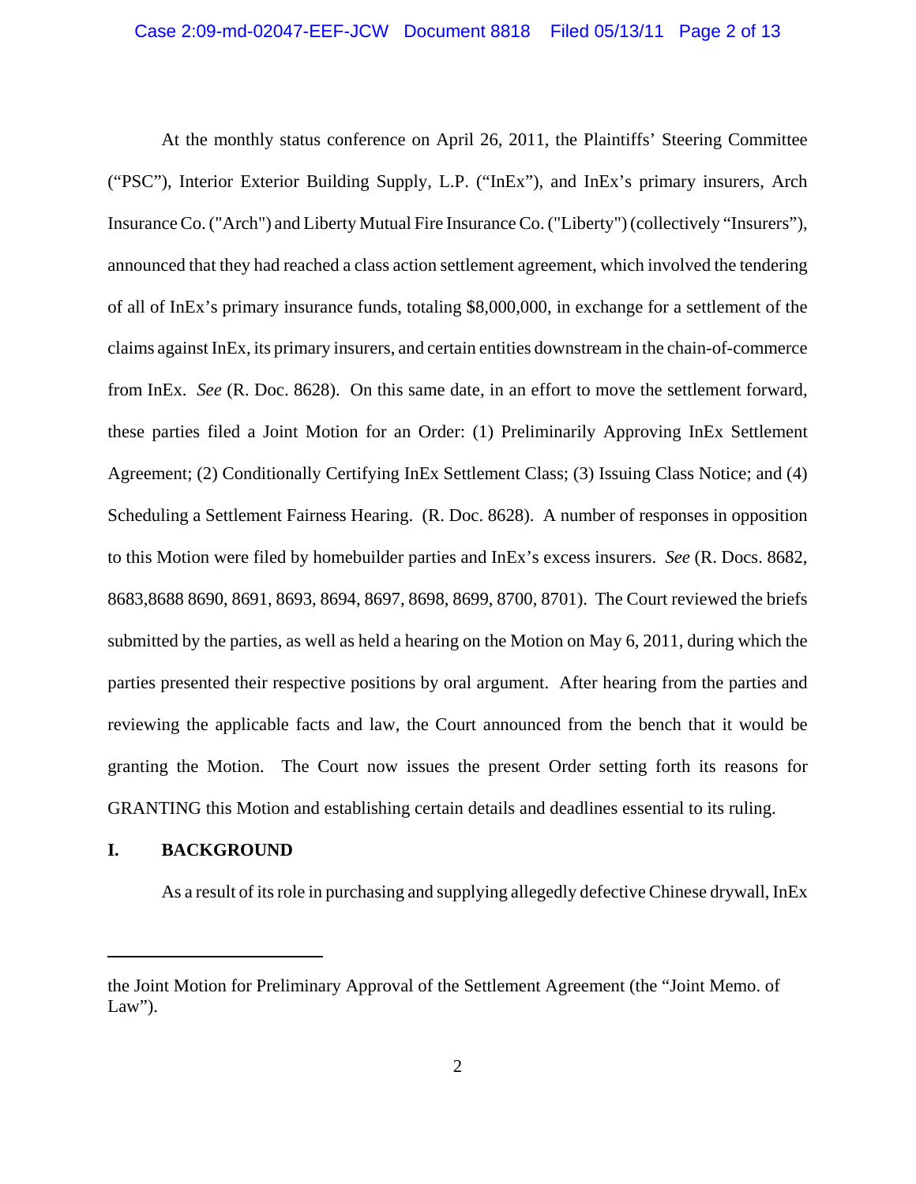At the monthly status conference on April 26, 2011, the Plaintiffs' Steering Committee ("PSC"), Interior Exterior Building Supply, L.P. ("InEx"), and InEx's primary insurers, Arch Insurance Co. ("Arch") and Liberty Mutual Fire Insurance Co. ("Liberty") (collectively "Insurers"), announced that they had reached a class action settlement agreement, which involved the tendering of all of InEx's primary insurance funds, totaling \$8,000,000, in exchange for a settlement of the claims against InEx, its primary insurers, and certain entities downstream in the chain-of-commerce from InEx. *See* (R. Doc. 8628). On this same date, in an effort to move the settlement forward, these parties filed a Joint Motion for an Order: (1) Preliminarily Approving InEx Settlement Agreement; (2) Conditionally Certifying InEx Settlement Class; (3) Issuing Class Notice; and (4) Scheduling a Settlement Fairness Hearing. (R. Doc. 8628). A number of responses in opposition to this Motion were filed by homebuilder parties and InEx's excess insurers. *See* (R. Docs. 8682, 8683,8688 8690, 8691, 8693, 8694, 8697, 8698, 8699, 8700, 8701). The Court reviewed the briefs submitted by the parties, as well as held a hearing on the Motion on May 6, 2011, during which the parties presented their respective positions by oral argument. After hearing from the parties and reviewing the applicable facts and law, the Court announced from the bench that it would be granting the Motion. The Court now issues the present Order setting forth its reasons for GRANTING this Motion and establishing certain details and deadlines essential to its ruling.

# **I. BACKGROUND**

As a result of its role in purchasing and supplying allegedly defective Chinese drywall, InEx

the Joint Motion for Preliminary Approval of the Settlement Agreement (the "Joint Memo. of Law").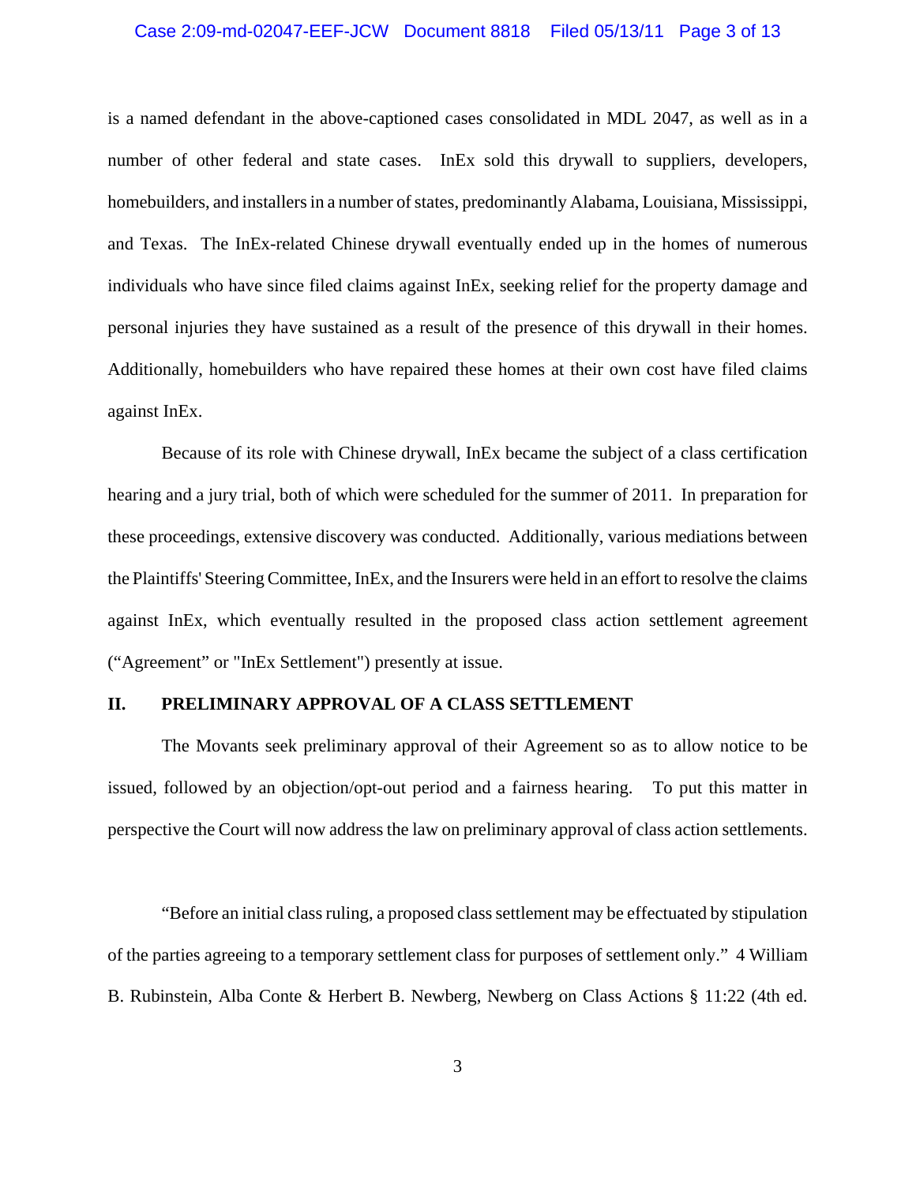### Case 2:09-md-02047-EEF-JCW Document 8818 Filed 05/13/11 Page 3 of 13

is a named defendant in the above-captioned cases consolidated in MDL 2047, as well as in a number of other federal and state cases. InEx sold this drywall to suppliers, developers, homebuilders, and installers in a number of states, predominantly Alabama, Louisiana, Mississippi, and Texas. The InEx-related Chinese drywall eventually ended up in the homes of numerous individuals who have since filed claims against InEx, seeking relief for the property damage and personal injuries they have sustained as a result of the presence of this drywall in their homes. Additionally, homebuilders who have repaired these homes at their own cost have filed claims against InEx.

Because of its role with Chinese drywall, InEx became the subject of a class certification hearing and a jury trial, both of which were scheduled for the summer of 2011. In preparation for these proceedings, extensive discovery was conducted. Additionally, various mediations between the Plaintiffs' Steering Committee, InEx, and the Insurers were held in an effort to resolve the claims against InEx, which eventually resulted in the proposed class action settlement agreement ("Agreement" or "InEx Settlement") presently at issue.

### **II. PRELIMINARY APPROVAL OF A CLASS SETTLEMENT**

The Movants seek preliminary approval of their Agreement so as to allow notice to be issued, followed by an objection/opt-out period and a fairness hearing. To put this matter in perspective the Court will now address the law on preliminary approval of class action settlements.

"Before an initial class ruling, a proposed class settlement may be effectuated by stipulation of the parties agreeing to a temporary settlement class for purposes of settlement only." 4 William B. Rubinstein, Alba Conte & Herbert B. Newberg, Newberg on Class Actions § 11:22 (4th ed.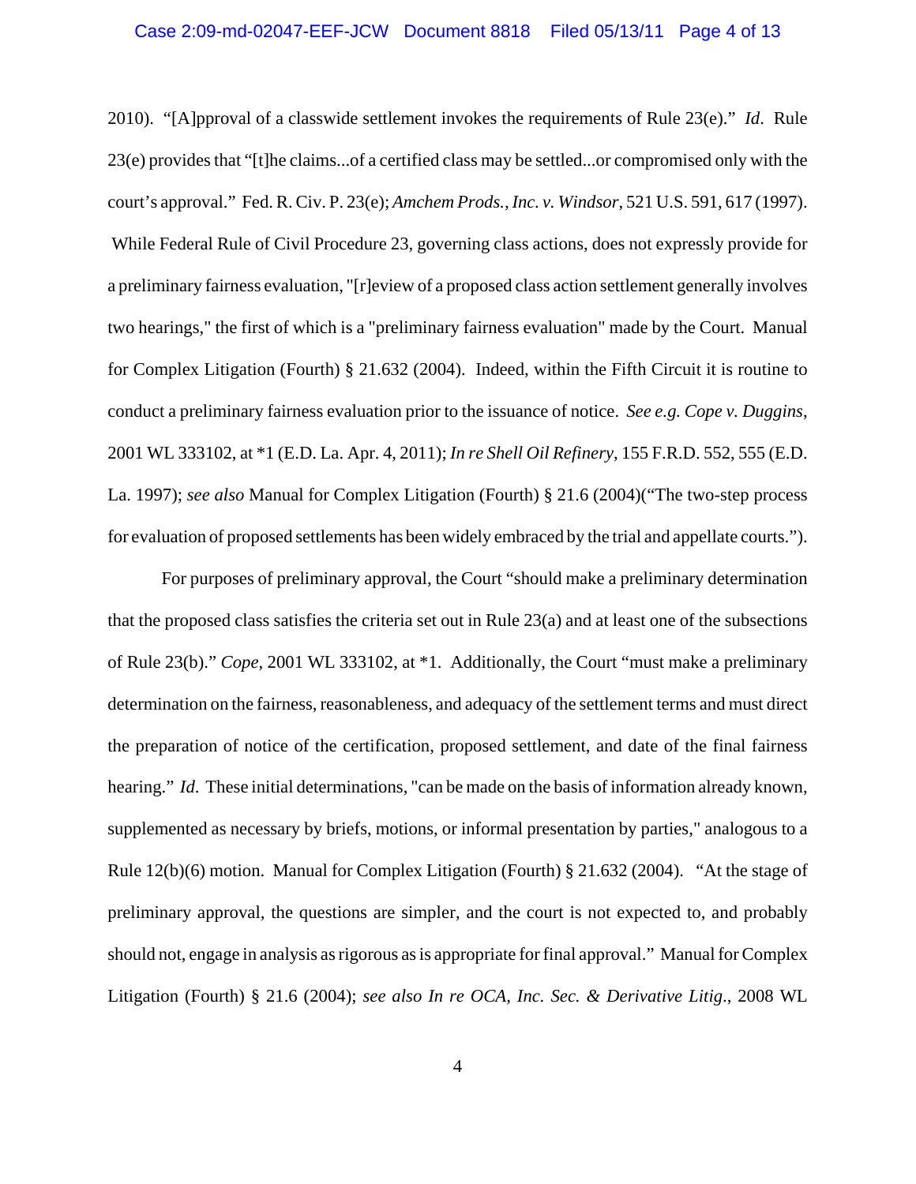# Case 2:09-md-02047-EEF-JCW Document 8818 Filed 05/13/11 Page 4 of 13

2010). "[A]pproval of a classwide settlement invokes the requirements of Rule 23(e)." *Id*. Rule 23(e) provides that "[t]he claims...of a certified class may be settled...or compromised only with the court's approval." Fed. R. Civ. P. 23(e); *Amchem Prods., Inc. v. Windsor*, 521 U.S. 591, 617 (1997). While Federal Rule of Civil Procedure 23, governing class actions, does not expressly provide for a preliminary fairness evaluation, "[r]eview of a proposed class action settlement generally involves two hearings," the first of which is a "preliminary fairness evaluation" made by the Court. Manual for Complex Litigation (Fourth) § 21.632 (2004). Indeed, within the Fifth Circuit it is routine to conduct a preliminary fairness evaluation prior to the issuance of notice. *See e.g. Cope v. Duggins*, 2001 WL 333102, at \*1 (E.D. La. Apr. 4, 2011); *In re Shell Oil Refinery*, 155 F.R.D. 552, 555 (E.D. La. 1997); *see also* Manual for Complex Litigation (Fourth) § 21.6 (2004)("The two-step process for evaluation of proposed settlements has been widely embraced by the trial and appellate courts.").

For purposes of preliminary approval, the Court "should make a preliminary determination that the proposed class satisfies the criteria set out in Rule 23(a) and at least one of the subsections of Rule 23(b)." *Cope*, 2001 WL 333102, at \*1. Additionally, the Court "must make a preliminary determination on the fairness, reasonableness, and adequacy of the settlement terms and must direct the preparation of notice of the certification, proposed settlement, and date of the final fairness hearing." *Id*. These initial determinations, "can be made on the basis of information already known, supplemented as necessary by briefs, motions, or informal presentation by parties," analogous to a Rule 12(b)(6) motion. Manual for Complex Litigation (Fourth) § 21.632 (2004). "At the stage of preliminary approval, the questions are simpler, and the court is not expected to, and probably should not, engage in analysis as rigorous as is appropriate for final approval." Manual for Complex Litigation (Fourth) § 21.6 (2004); *see also In re OCA, Inc. Sec. & Derivative Litig*., 2008 WL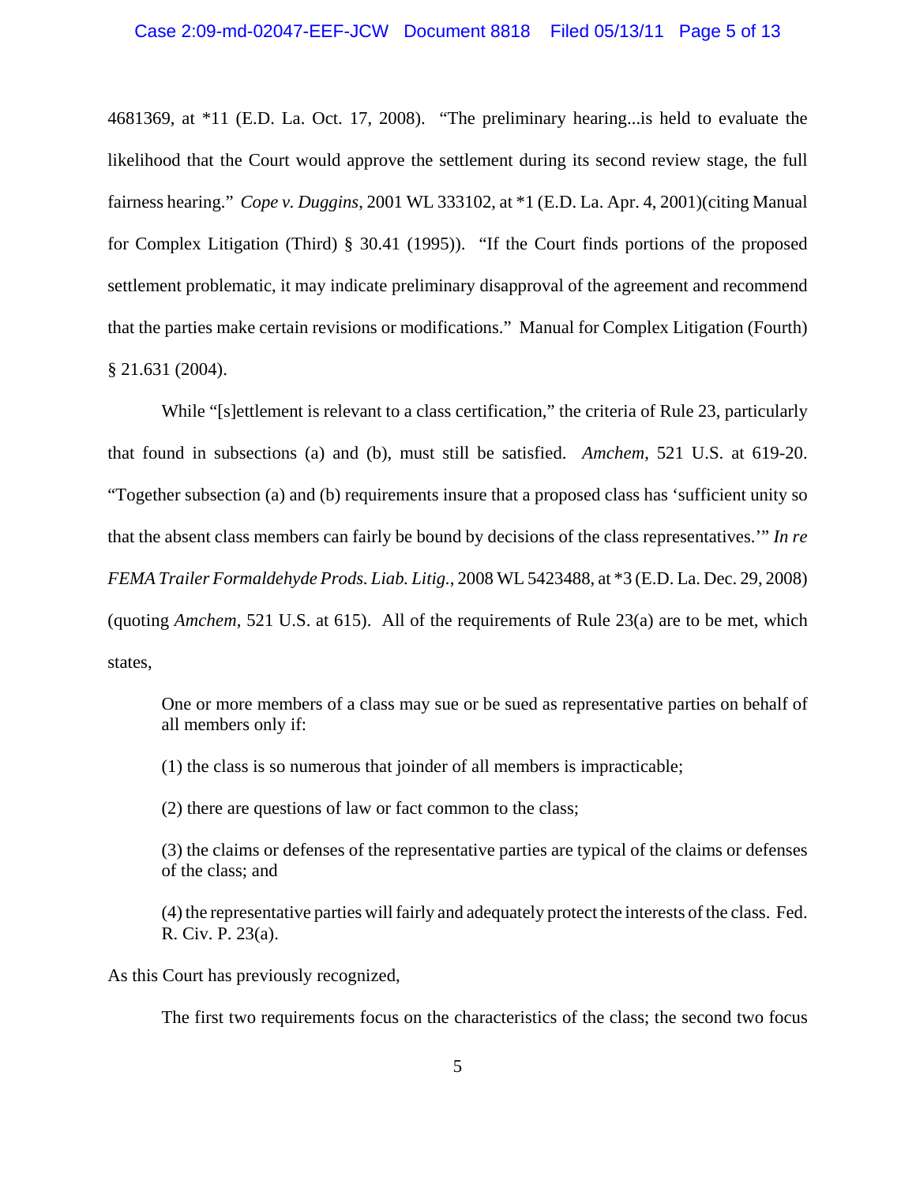# Case 2:09-md-02047-EEF-JCW Document 8818 Filed 05/13/11 Page 5 of 13

4681369, at \*11 (E.D. La. Oct. 17, 2008). "The preliminary hearing...is held to evaluate the likelihood that the Court would approve the settlement during its second review stage, the full fairness hearing." *Cope v. Duggins*, 2001 WL 333102, at \*1 (E.D. La. Apr. 4, 2001)(citing Manual for Complex Litigation (Third) § 30.41 (1995)). "If the Court finds portions of the proposed settlement problematic, it may indicate preliminary disapproval of the agreement and recommend that the parties make certain revisions or modifications." Manual for Complex Litigation (Fourth) § 21.631 (2004).

While "[s]ettlement is relevant to a class certification," the criteria of Rule 23, particularly that found in subsections (a) and (b), must still be satisfied. *Amchem*, 521 U.S. at 619-20. "Together subsection (a) and (b) requirements insure that a proposed class has 'sufficient unity so that the absent class members can fairly be bound by decisions of the class representatives.'" *In re FEMA Trailer Formaldehyde Prods. Liab. Litig.*, 2008 WL 5423488, at \*3 (E.D. La. Dec. 29, 2008) (quoting *Amchem,* 521 U.S. at 615). All of the requirements of Rule 23(a) are to be met, which states,

One or more members of a class may sue or be sued as representative parties on behalf of all members only if:

(1) the class is so numerous that joinder of all members is impracticable;

(2) there are questions of law or fact common to the class;

(3) the claims or defenses of the representative parties are typical of the claims or defenses of the class; and

(4) the representative parties will fairly and adequately protect the interests of the class. Fed. R. Civ. P. 23(a).

As this Court has previously recognized,

The first two requirements focus on the characteristics of the class; the second two focus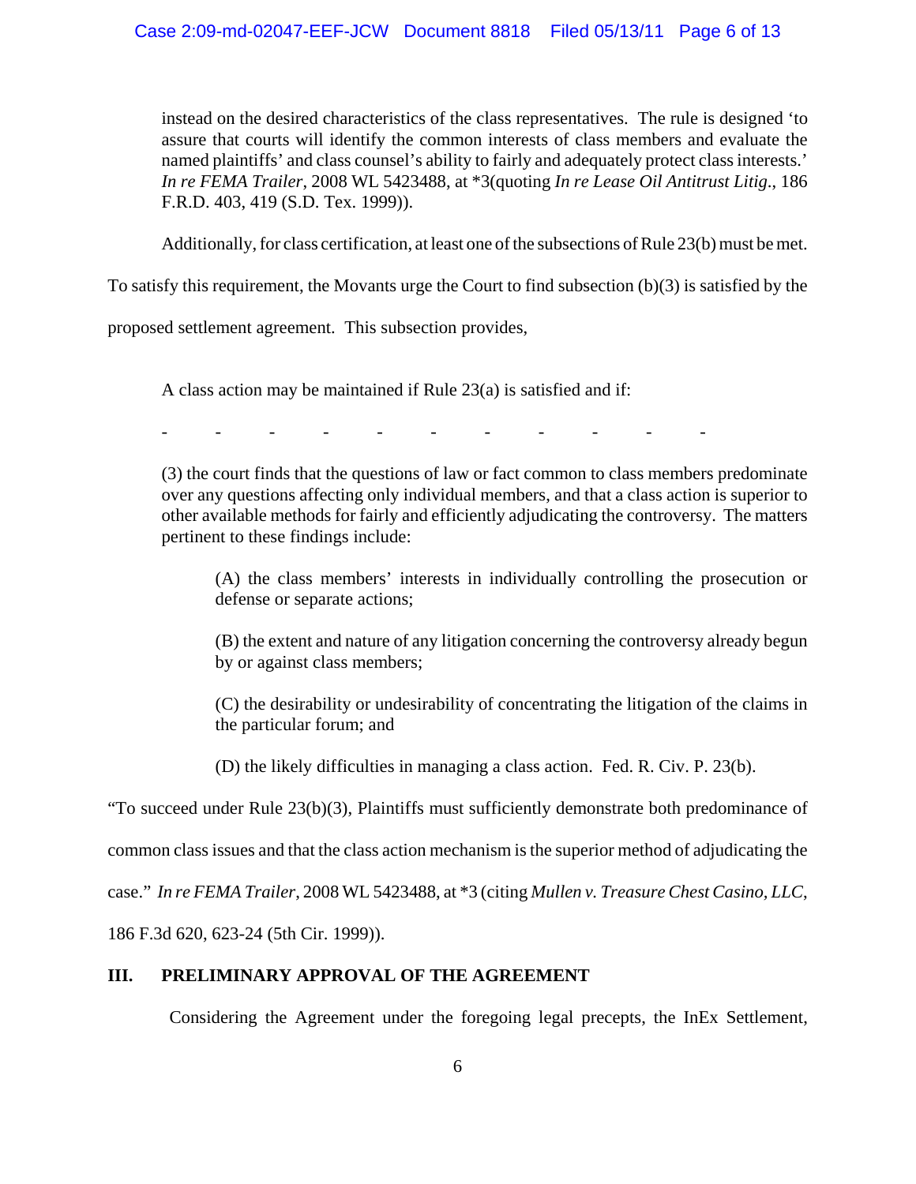### Case 2:09-md-02047-EEF-JCW Document 8818 Filed 05/13/11 Page 6 of 13

instead on the desired characteristics of the class representatives. The rule is designed 'to assure that courts will identify the common interests of class members and evaluate the named plaintiffs' and class counsel's ability to fairly and adequately protect class interests.' *In re FEMA Trailer*, 2008 WL 5423488, at \*3(quoting *In re Lease Oil Antitrust Litig*., 186 F.R.D. 403, 419 (S.D. Tex. 1999)).

Additionally, for class certification, at least one of the subsections of Rule 23(b) must be met.

To satisfy this requirement, the Movants urge the Court to find subsection (b)(3) is satisfied by the

proposed settlement agreement. This subsection provides,

A class action may be maintained if Rule 23(a) is satisfied and if:

-----------

(3) the court finds that the questions of law or fact common to class members predominate over any questions affecting only individual members, and that a class action is superior to other available methods for fairly and efficiently adjudicating the controversy. The matters pertinent to these findings include:

(A) the class members' interests in individually controlling the prosecution or defense or separate actions;

(B) the extent and nature of any litigation concerning the controversy already begun by or against class members;

(C) the desirability or undesirability of concentrating the litigation of the claims in the particular forum; and

(D) the likely difficulties in managing a class action. Fed. R. Civ. P. 23(b).

"To succeed under Rule 23(b)(3), Plaintiffs must sufficiently demonstrate both predominance of

common class issues and that the class action mechanism is the superior method of adjudicating the

case." *In re FEMA Trailer*, 2008 WL 5423488, at \*3 (citing *Mullen v. Treasure Chest Casino, LLC*,

186 F.3d 620, 623-24 (5th Cir. 1999)).

### **III. PRELIMINARY APPROVAL OF THE AGREEMENT**

Considering the Agreement under the foregoing legal precepts, the InEx Settlement,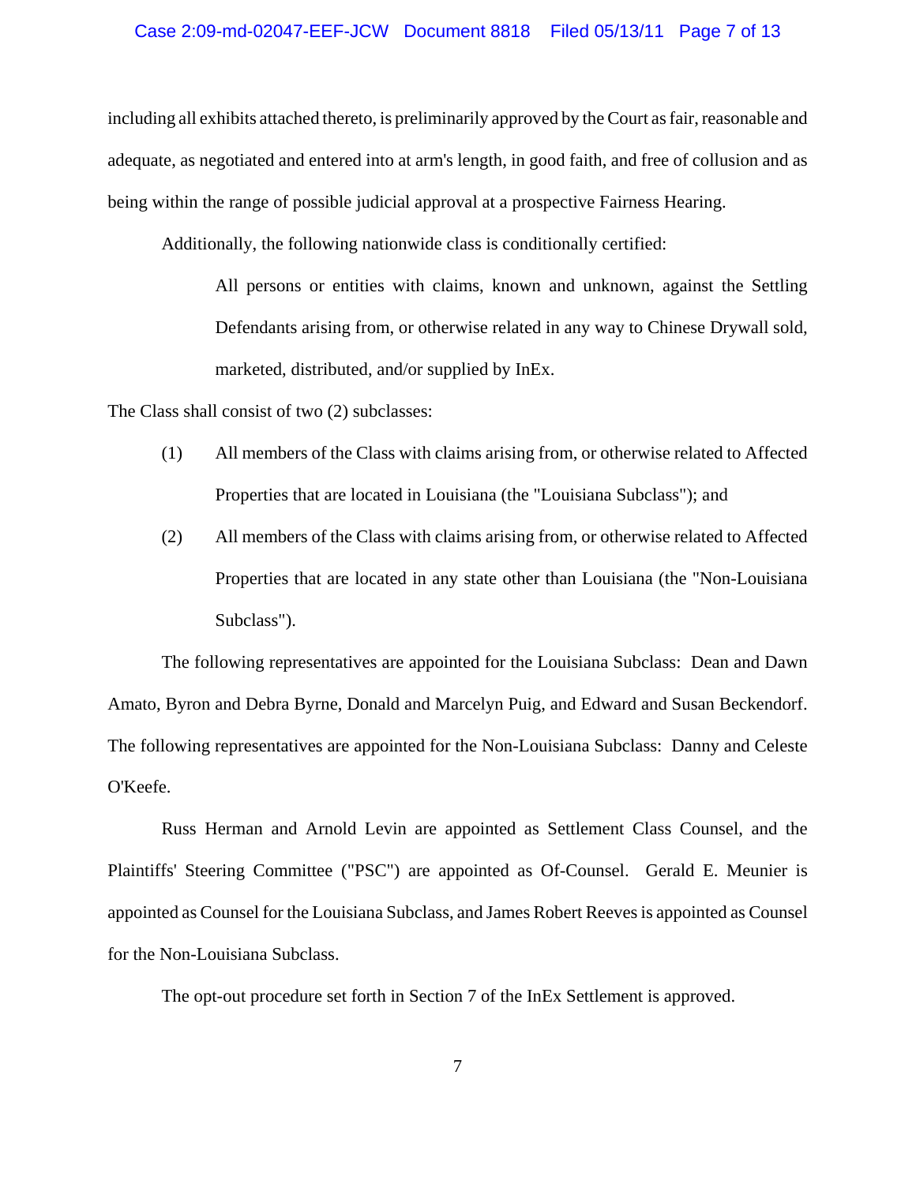### Case 2:09-md-02047-EEF-JCW Document 8818 Filed 05/13/11 Page 7 of 13

including all exhibits attached thereto, is preliminarily approved by the Court as fair, reasonable and adequate, as negotiated and entered into at arm's length, in good faith, and free of collusion and as being within the range of possible judicial approval at a prospective Fairness Hearing.

Additionally, the following nationwide class is conditionally certified:

All persons or entities with claims, known and unknown, against the Settling Defendants arising from, or otherwise related in any way to Chinese Drywall sold, marketed, distributed, and/or supplied by InEx.

The Class shall consist of two (2) subclasses:

- (1) All members of the Class with claims arising from, or otherwise related to Affected Properties that are located in Louisiana (the "Louisiana Subclass"); and
- (2) All members of the Class with claims arising from, or otherwise related to Affected Properties that are located in any state other than Louisiana (the "Non-Louisiana Subclass").

The following representatives are appointed for the Louisiana Subclass: Dean and Dawn Amato, Byron and Debra Byrne, Donald and Marcelyn Puig, and Edward and Susan Beckendorf. The following representatives are appointed for the Non-Louisiana Subclass: Danny and Celeste O'Keefe.

Russ Herman and Arnold Levin are appointed as Settlement Class Counsel, and the Plaintiffs' Steering Committee ("PSC") are appointed as Of-Counsel. Gerald E. Meunier is appointed as Counsel for the Louisiana Subclass, and James Robert Reeves is appointed as Counsel for the Non-Louisiana Subclass.

The opt-out procedure set forth in Section 7 of the InEx Settlement is approved.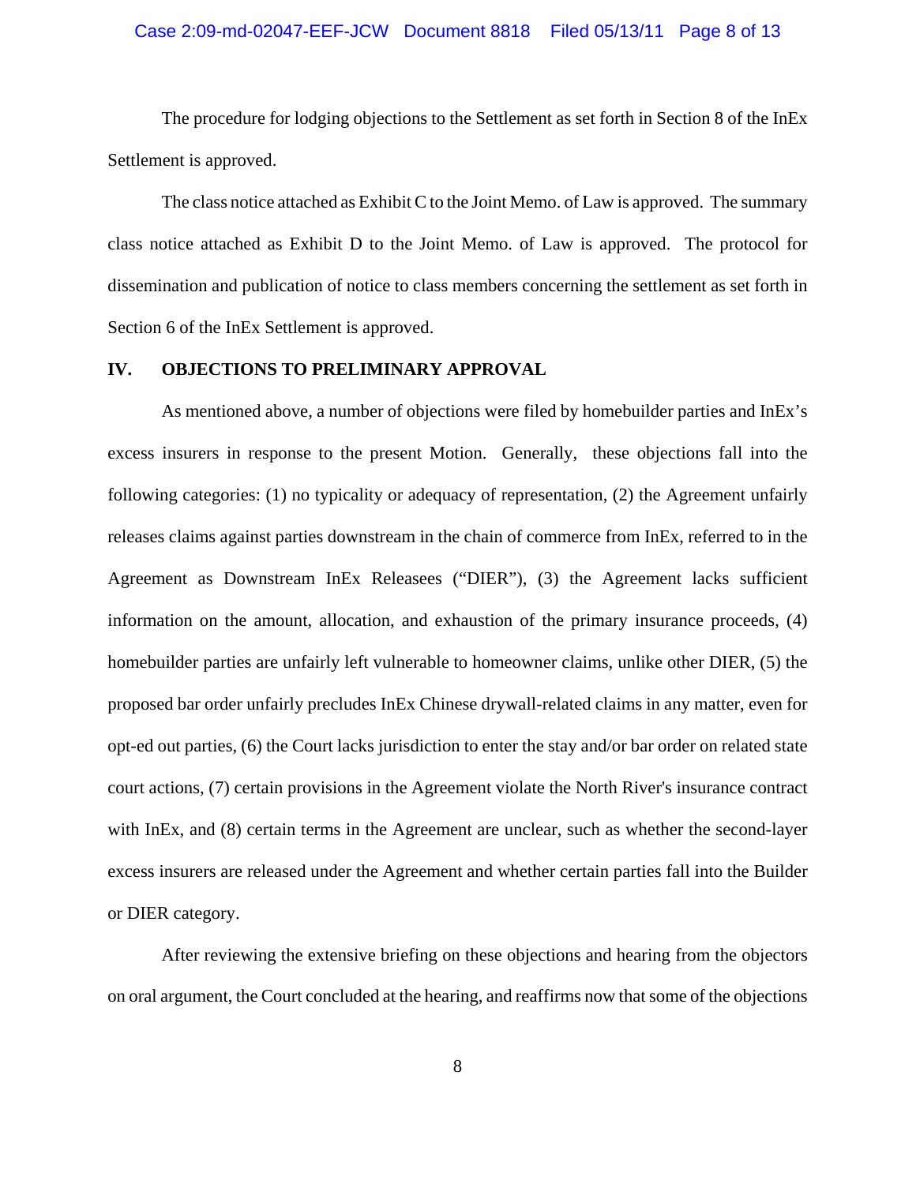# Case 2:09-md-02047-EEF-JCW Document 8818 Filed 05/13/11 Page 8 of 13

The procedure for lodging objections to the Settlement as set forth in Section 8 of the InEx Settlement is approved.

The class notice attached as Exhibit C to the Joint Memo. of Law is approved. The summary class notice attached as Exhibit D to the Joint Memo. of Law is approved. The protocol for dissemination and publication of notice to class members concerning the settlement as set forth in Section 6 of the InEx Settlement is approved.

### **IV. OBJECTIONS TO PRELIMINARY APPROVAL**

As mentioned above, a number of objections were filed by homebuilder parties and InEx's excess insurers in response to the present Motion. Generally, these objections fall into the following categories: (1) no typicality or adequacy of representation, (2) the Agreement unfairly releases claims against parties downstream in the chain of commerce from InEx, referred to in the Agreement as Downstream InEx Releasees ("DIER"), (3) the Agreement lacks sufficient information on the amount, allocation, and exhaustion of the primary insurance proceeds, (4) homebuilder parties are unfairly left vulnerable to homeowner claims, unlike other DIER, (5) the proposed bar order unfairly precludes InEx Chinese drywall-related claims in any matter, even for opt-ed out parties, (6) the Court lacks jurisdiction to enter the stay and/or bar order on related state court actions, (7) certain provisions in the Agreement violate the North River's insurance contract with InEx, and (8) certain terms in the Agreement are unclear, such as whether the second-layer excess insurers are released under the Agreement and whether certain parties fall into the Builder or DIER category.

After reviewing the extensive briefing on these objections and hearing from the objectors on oral argument, the Court concluded at the hearing, and reaffirms now that some of the objections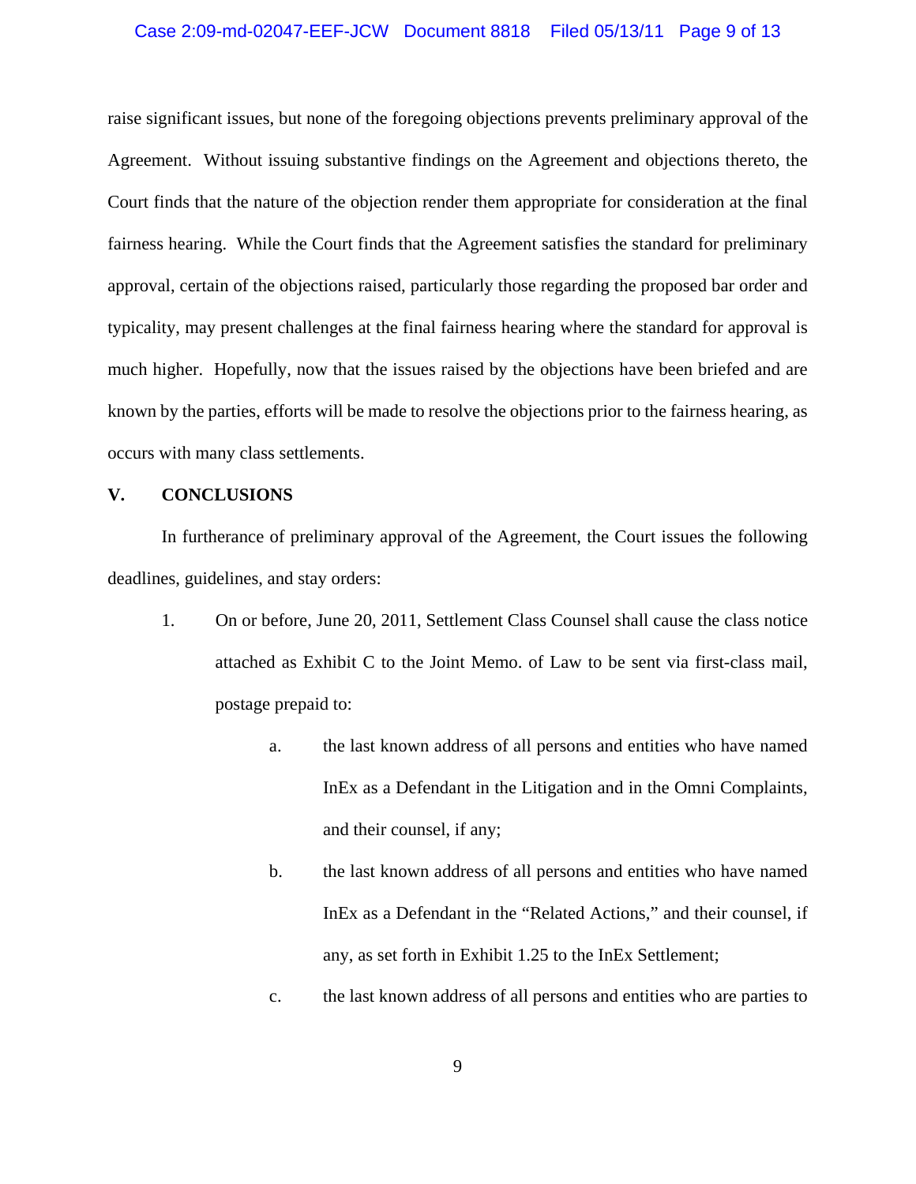### Case 2:09-md-02047-EEF-JCW Document 8818 Filed 05/13/11 Page 9 of 13

raise significant issues, but none of the foregoing objections prevents preliminary approval of the Agreement. Without issuing substantive findings on the Agreement and objections thereto, the Court finds that the nature of the objection render them appropriate for consideration at the final fairness hearing. While the Court finds that the Agreement satisfies the standard for preliminary approval, certain of the objections raised, particularly those regarding the proposed bar order and typicality, may present challenges at the final fairness hearing where the standard for approval is much higher. Hopefully, now that the issues raised by the objections have been briefed and are known by the parties, efforts will be made to resolve the objections prior to the fairness hearing, as occurs with many class settlements.

### **V. CONCLUSIONS**

In furtherance of preliminary approval of the Agreement, the Court issues the following deadlines, guidelines, and stay orders:

- 1. On or before, June 20, 2011, Settlement Class Counsel shall cause the class notice attached as Exhibit C to the Joint Memo. of Law to be sent via first-class mail, postage prepaid to:
	- a. the last known address of all persons and entities who have named InEx as a Defendant in the Litigation and in the Omni Complaints, and their counsel, if any;
	- b. the last known address of all persons and entities who have named InEx as a Defendant in the "Related Actions," and their counsel, if any, as set forth in Exhibit 1.25 to the InEx Settlement;
	- c. the last known address of all persons and entities who are parties to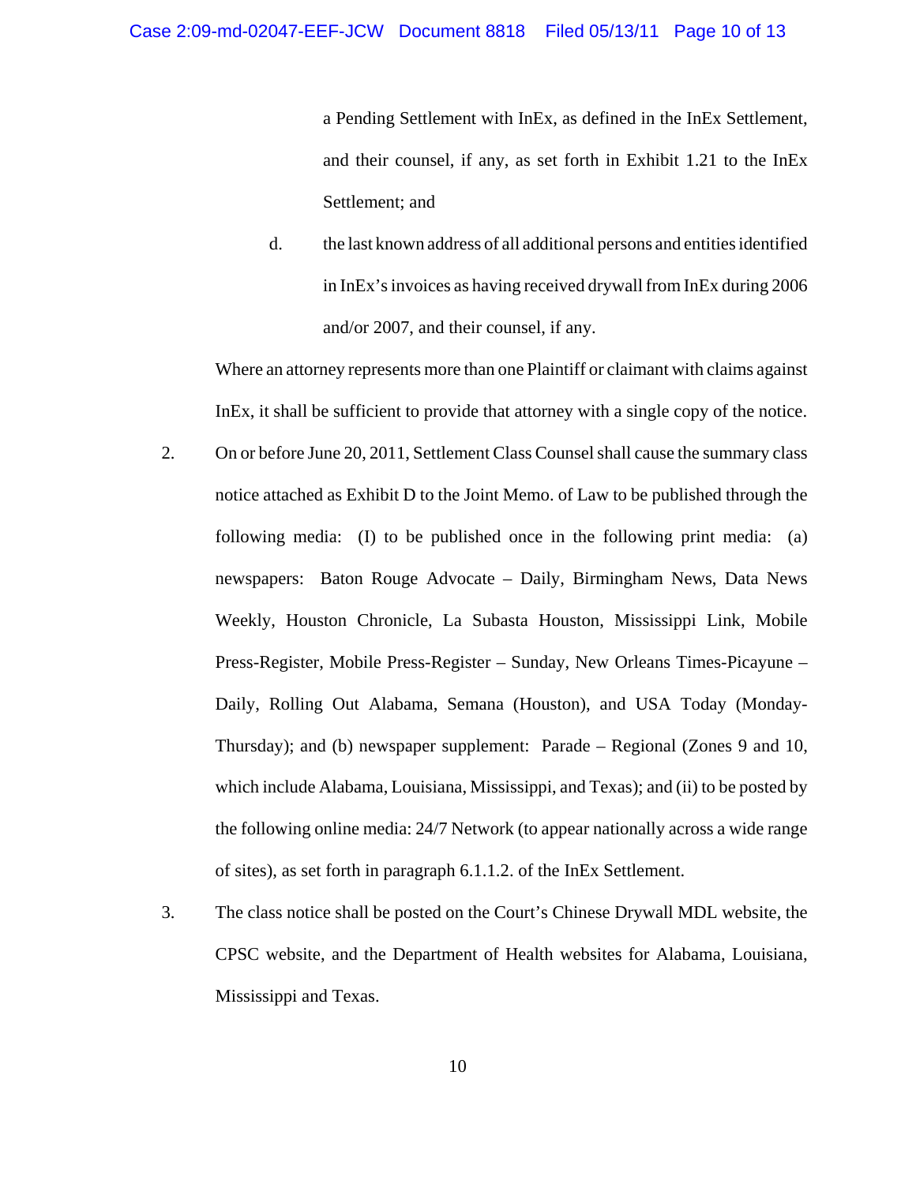a Pending Settlement with InEx, as defined in the InEx Settlement, and their counsel, if any, as set forth in Exhibit 1.21 to the InEx Settlement; and

d. the last known address of all additional persons and entities identified in InEx's invoices as having received drywall from InEx during 2006 and/or 2007, and their counsel, if any.

Where an attorney represents more than one Plaintiff or claimant with claims against InEx, it shall be sufficient to provide that attorney with a single copy of the notice.

- 2. On or before June 20, 2011, Settlement Class Counsel shall cause the summary class notice attached as Exhibit D to the Joint Memo. of Law to be published through the following media: (I) to be published once in the following print media: (a) newspapers: Baton Rouge Advocate – Daily, Birmingham News, Data News Weekly, Houston Chronicle, La Subasta Houston, Mississippi Link, Mobile Press-Register, Mobile Press-Register – Sunday, New Orleans Times-Picayune – Daily, Rolling Out Alabama, Semana (Houston), and USA Today (Monday-Thursday); and (b) newspaper supplement: Parade – Regional (Zones 9 and 10, which include Alabama, Louisiana, Mississippi, and Texas); and (ii) to be posted by the following online media: 24/7 Network (to appear nationally across a wide range of sites), as set forth in paragraph 6.1.1.2. of the InEx Settlement.
- 3. The class notice shall be posted on the Court's Chinese Drywall MDL website, the CPSC website, and the Department of Health websites for Alabama, Louisiana, Mississippi and Texas.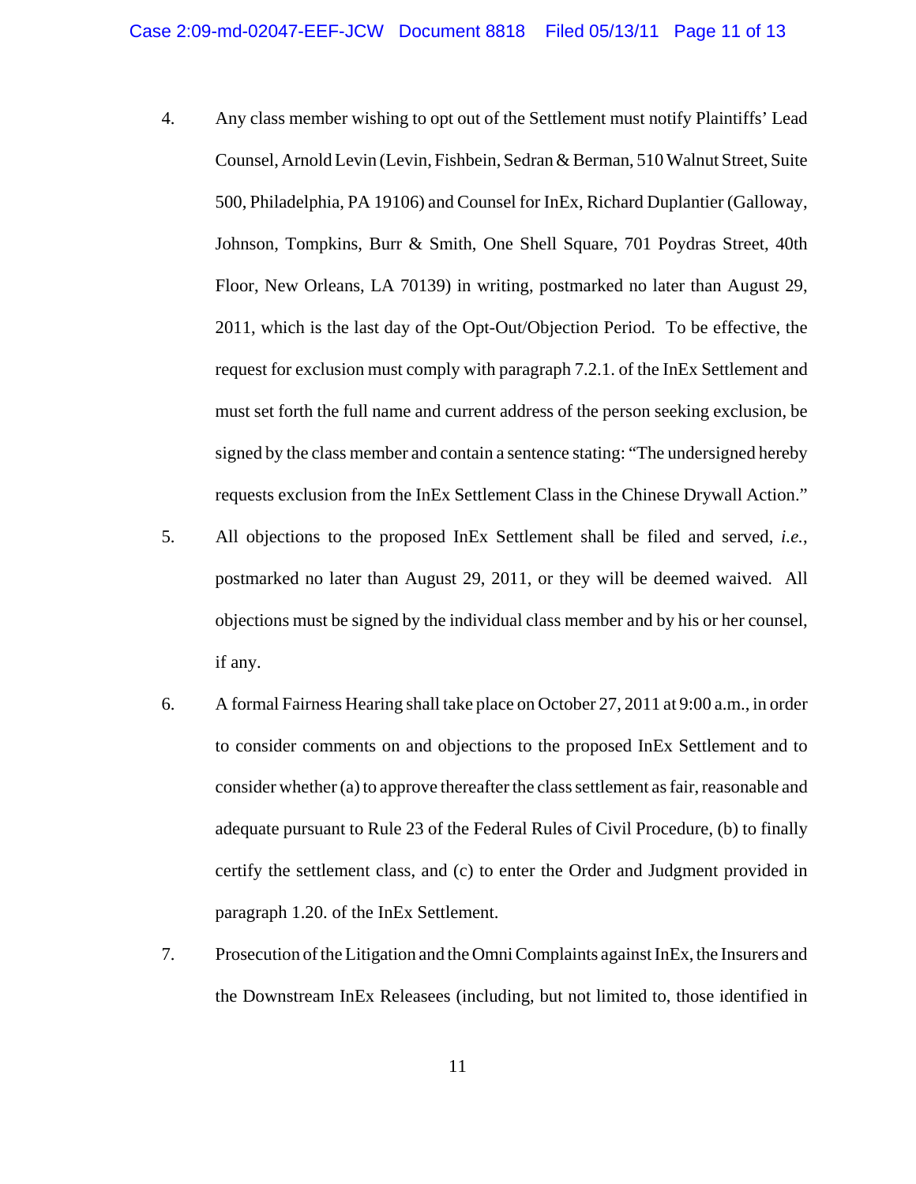- 4. Any class member wishing to opt out of the Settlement must notify Plaintiffs' Lead Counsel, Arnold Levin (Levin, Fishbein, Sedran & Berman, 510 Walnut Street, Suite 500, Philadelphia, PA 19106) and Counsel for InEx, Richard Duplantier (Galloway, Johnson, Tompkins, Burr & Smith, One Shell Square, 701 Poydras Street, 40th Floor, New Orleans, LA 70139) in writing, postmarked no later than August 29, 2011, which is the last day of the Opt-Out/Objection Period. To be effective, the request for exclusion must comply with paragraph 7.2.1. of the InEx Settlement and must set forth the full name and current address of the person seeking exclusion, be signed by the class member and contain a sentence stating: "The undersigned hereby requests exclusion from the InEx Settlement Class in the Chinese Drywall Action."
- 5. All objections to the proposed InEx Settlement shall be filed and served, *i.e.*, postmarked no later than August 29, 2011, or they will be deemed waived. All objections must be signed by the individual class member and by his or her counsel, if any.
- 6. A formal Fairness Hearing shall take place on October 27, 2011 at 9:00 a.m., in order to consider comments on and objections to the proposed InEx Settlement and to consider whether (a) to approve thereafter the class settlement as fair, reasonable and adequate pursuant to Rule 23 of the Federal Rules of Civil Procedure, (b) to finally certify the settlement class, and (c) to enter the Order and Judgment provided in paragraph 1.20. of the InEx Settlement.
- 7. Prosecution of the Litigation and the Omni Complaints against InEx, the Insurers and the Downstream InEx Releasees (including, but not limited to, those identified in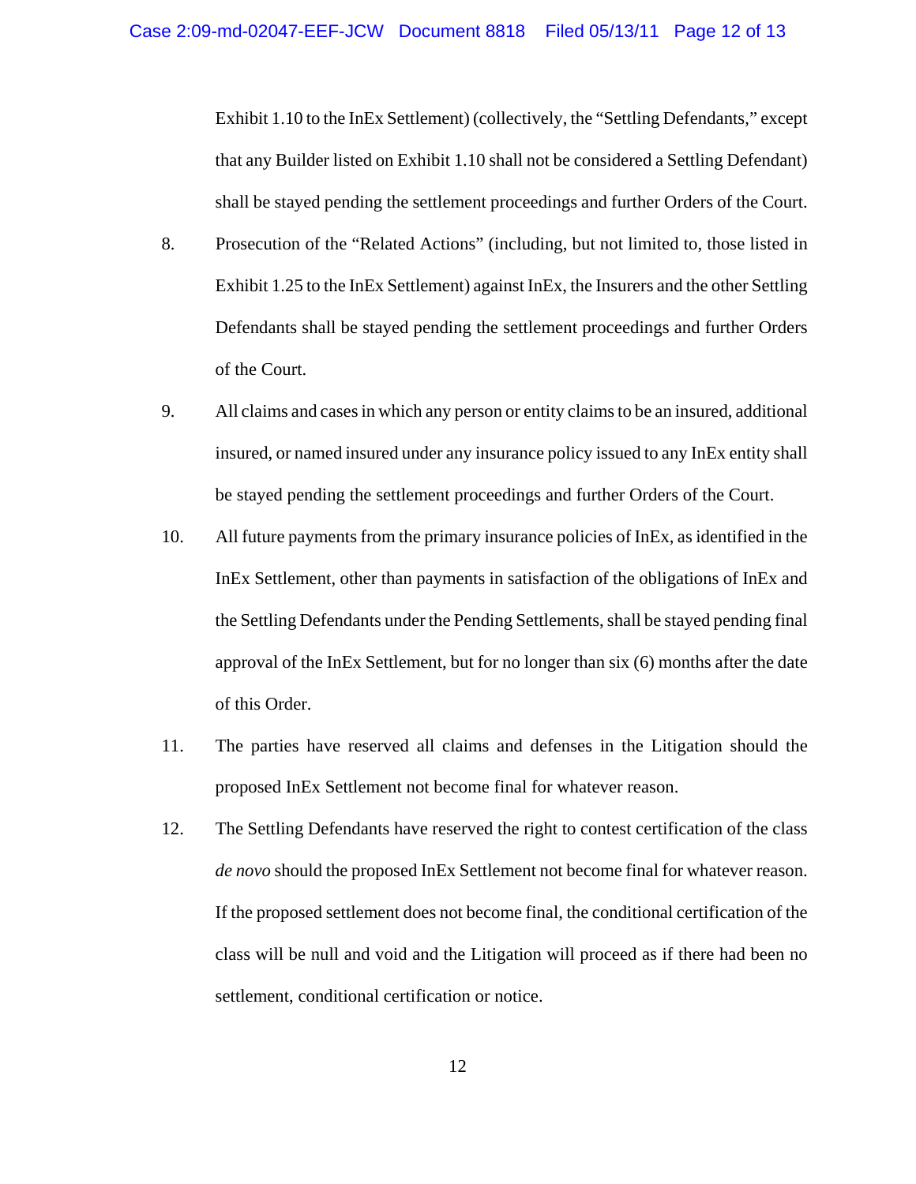Exhibit 1.10 to the InEx Settlement) (collectively, the "Settling Defendants," except that any Builder listed on Exhibit 1.10 shall not be considered a Settling Defendant) shall be stayed pending the settlement proceedings and further Orders of the Court.

- 8. Prosecution of the "Related Actions" (including, but not limited to, those listed in Exhibit 1.25 to the InEx Settlement) against InEx, the Insurers and the other Settling Defendants shall be stayed pending the settlement proceedings and further Orders of the Court.
- 9. All claims and cases in which any person or entity claims to be an insured, additional insured, or named insured under any insurance policy issued to any InEx entity shall be stayed pending the settlement proceedings and further Orders of the Court.
- 10. All future payments from the primary insurance policies of InEx, as identified in the InEx Settlement, other than payments in satisfaction of the obligations of InEx and the Settling Defendants under the Pending Settlements, shall be stayed pending final approval of the InEx Settlement, but for no longer than six (6) months after the date of this Order.
- 11. The parties have reserved all claims and defenses in the Litigation should the proposed InEx Settlement not become final for whatever reason.
- 12. The Settling Defendants have reserved the right to contest certification of the class *de novo* should the proposed InEx Settlement not become final for whatever reason. If the proposed settlement does not become final, the conditional certification of the class will be null and void and the Litigation will proceed as if there had been no settlement, conditional certification or notice.